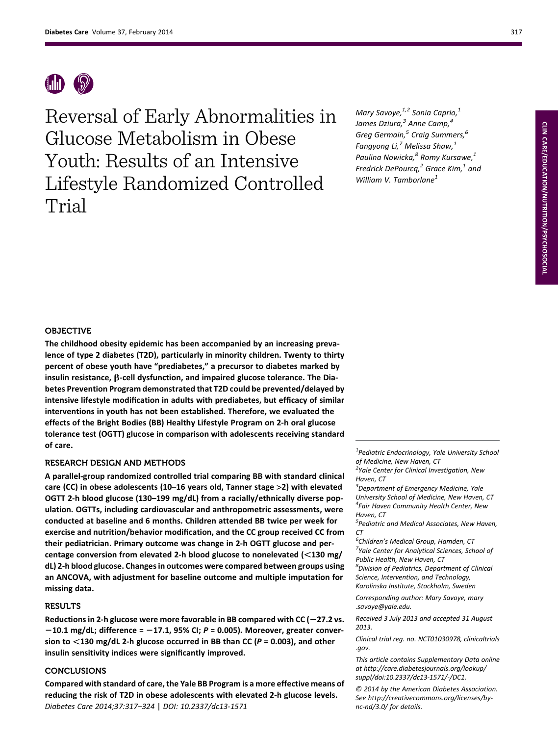

Reversal of Early Abnormalities in Glucose Metabolism in Obese Youth: Results of an Intensive Lifestyle Randomized Controlled Trial

Mary Savoye, $1,2$  Sonia Caprio, $1$ James Dziura,<sup>3</sup> Anne Camp,<sup>4</sup> Greg Germain, $5$  Craig Summers, $6$ Fangyong Li, $^7$  Melissa Shaw, $^1$ Paulina Nowicka,<sup>8</sup> Romy Kursawe,<sup>1</sup> Fredrick DePourcq, $^2$  Grace Kim, $^1$  and William V. Tamborlane<sup>1</sup>

# OBJECTIVE

The childhood obesity epidemic has been accompanied by an increasing prevalence of type 2 diabetes (T2D), particularly in minority children. Twenty to thirty percent of obese youth have "prediabetes," a precursor to diabetes marked by insulin resistance,  $\beta$ -cell dysfunction, and impaired glucose tolerance. The Diabetes Prevention Program demonstrated that T2D could be prevented/delayed by intensive lifestyle modification in adults with prediabetes, but efficacy of similar interventions in youth has not been established. Therefore, we evaluated the effects of the Bright Bodies (BB) Healthy Lifestyle Program on 2-h oral glucose tolerance test (OGTT) glucose in comparison with adolescents receiving standard of care.

# RESEARCH DESIGN AND METHODS

A parallel-group randomized controlled trial comparing BB with standard clinical care (CC) in obese adolescents (10–16 years old, Tanner stage >2) with elevated OGTT 2-h blood glucose (130–199 mg/dL) from a racially/ethnically diverse population. OGTTs, including cardiovascular and anthropometric assessments, were conducted at baseline and 6 months. Children attended BB twice per week for exercise and nutrition/behavior modification, and the CC group received CC from their pediatrician. Primary outcome was change in 2-h OGTT glucose and percentage conversion from elevated 2-h blood glucose to nonelevated ( $\leq$ 130 mg/ dL) 2-h blood glucose. Changes in outcomes were compared between groups using an ANCOVA, with adjustment for baseline outcome and multiple imputation for missing data.

# **RESULTS**

Reductions in 2-h glucose were more favorable in BB compared with  $CC (-27.2 \text{ vs.})$  $-10.1$  mg/dL; difference =  $-17.1$ , 95% CI; P = 0.005). Moreover, greater conversion to  $\leq$ 130 mg/dL 2-h glucose occurred in BB than CC (P = 0.003), and other insulin sensitivity indices were significantly improved.

# CONCLUSIONS

Compared with standard of care, the Yale BB Program is a more effective means of reducing the risk of T2D in obese adolescents with elevated 2-h glucose levels. Diabetes Care 2014;37:317–324 | DOI: 10.2337/dc13-1571

<sup>1</sup> Pediatric Endocrinology, Yale University School of Medicine, New Haven, CT

<sup>3</sup>Department of Emergency Medicine, Yale University School of Medicine, New Haven, CT 4 Fair Haven Community Health Center, New Haven, CT

<sup>6</sup>Children's Medical Group, Hamden, CT<br><sup>7</sup>Vale Center for Anglytical Sciences, Sch <sup>7</sup>Yale Center for Analytical Sciences, School of Public Health, New Haven, CT

<sup>8</sup>Division of Pediatrics, Department of Clinical Science, Intervention, and Technology,

Karolinska Institute, Stockholm, Sweden

Corresponding author: Mary Savoye, [mary](mailto:mary<?show [?tjl=20mm]&tjlpc;[?tjl]?>.savoye@yale.edu) [.savoye@yale.edu](mailto:mary<?show [?tjl=20mm]&tjlpc;[?tjl]?>.savoye@yale.edu).

Received 3 July 2013 and accepted 31 August 2013.

Clinical trial reg. no. NCT01030978, clinicaltrials .gov.

This article contains Supplementary Data online at [http://care.diabetesjournals.org/lookup/](http://care.diabetesjournals.org/lookup/suppl/doi:10.2337/dc13-1571/-/DC1) [suppl/doi:10.2337/dc13-1571/-/DC1.](http://care.diabetesjournals.org/lookup/suppl/doi:10.2337/dc13-1571/-/DC1)

© 2014 by the American Diabetes Association. See [http://creativecommons.org/licenses/by](http://creativecommons.org/licenses/by-nc-nd/3.0/)[nc-nd/3.0/](http://creativecommons.org/licenses/by-nc-nd/3.0/) for details.

<sup>&</sup>lt;sup>2</sup>Yale Center for Clinical Investigation, New Haven, CT

<sup>&</sup>lt;sup>5</sup>Pediatric and Medical Associates, New Haven, CT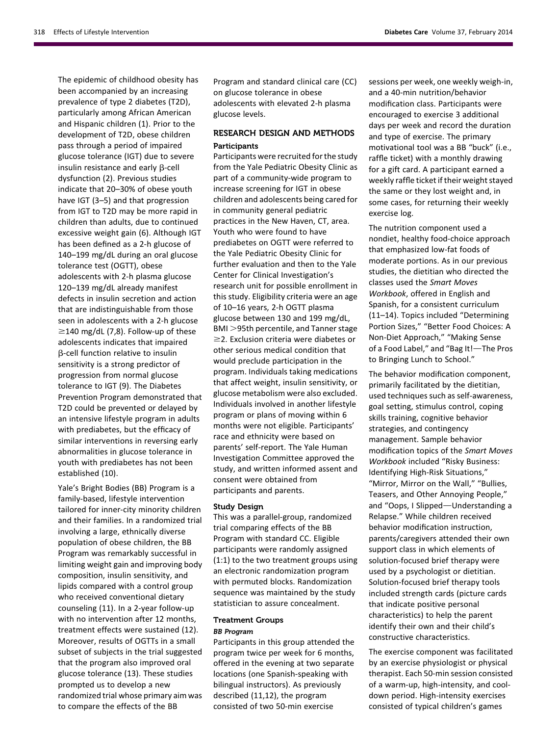The epidemic of childhood obesity has been accompanied by an increasing prevalence of type 2 diabetes (T2D), particularly among African American and Hispanic children (1). Prior to the development of T2D, obese children pass through a period of impaired glucose tolerance (IGT) due to severe insulin resistance and early  $\beta$ -cell dysfunction (2). Previous studies indicate that 20–30% of obese youth have IGT (3–5) and that progression from IGT to T2D may be more rapid in children than adults, due to continued excessive weight gain (6). Although IGT has been defined as a 2-h glucose of 140–199 mg/dL during an oral glucose tolerance test (OGTT), obese adolescents with 2-h plasma glucose 120–139 mg/dL already manifest defects in insulin secretion and action that are indistinguishable from those seen in adolescents with a 2-h glucose  $\geq$ 140 mg/dL (7,8). Follow-up of these adolescents indicates that impaired b-cell function relative to insulin sensitivity is a strong predictor of progression from normal glucose tolerance to IGT (9). The Diabetes Prevention Program demonstrated that T2D could be prevented or delayed by an intensive lifestyle program in adults with prediabetes, but the efficacy of similar interventions in reversing early abnormalities in glucose tolerance in youth with prediabetes has not been established (10).

Yale's Bright Bodies (BB) Program is a family-based, lifestyle intervention tailored for inner-city minority children and their families. In a randomized trial involving a large, ethnically diverse population of obese children, the BB Program was remarkably successful in limiting weight gain and improving body composition, insulin sensitivity, and lipids compared with a control group who received conventional dietary counseling (11). In a 2-year follow-up with no intervention after 12 months, treatment effects were sustained (12). Moreover, results of OGTTs in a small subset of subjects in the trial suggested that the program also improved oral glucose tolerance (13). These studies prompted us to develop a new randomized trial whose primary aim was to compare the effects of the BB

Program and standard clinical care (CC) on glucose tolerance in obese adolescents with elevated 2-h plasma glucose levels.

# RESEARCH DESIGN AND METHODS Participants

Participants were recruited for the study from the Yale Pediatric Obesity Clinic as part of a community-wide program to increase screening for IGT in obese children and adolescents being cared for in community general pediatric practices in the New Haven, CT, area. Youth who were found to have prediabetes on OGTT were referred to the Yale Pediatric Obesity Clinic for further evaluation and then to the Yale Center for Clinical Investigation's research unit for possible enrollment in this study. Eligibility criteria were an age of 10–16 years, 2-h OGTT plasma glucose between 130 and 199 mg/dL, BMI >95th percentile, and Tanner stage  $\geq$ 2. Exclusion criteria were diabetes or other serious medical condition that would preclude participation in the program. Individuals taking medications that affect weight, insulin sensitivity, or glucose metabolism were also excluded. Individuals involved in another lifestyle program or plans of moving within 6 months were not eligible. Participants' race and ethnicity were based on parents' self-report. The Yale Human Investigation Committee approved the study, and written informed assent and consent were obtained from participants and parents.

## Study Design

This was a parallel-group, randomized trial comparing effects of the BB Program with standard CC. Eligible participants were randomly assigned (1:1) to the two treatment groups using an electronic randomization program with permuted blocks. Randomization sequence was maintained by the study statistician to assure concealment.

## Treatment Groups

## BB Program

Participants in this group attended the program twice per week for 6 months, offered in the evening at two separate locations (one Spanish-speaking with bilingual instructors). As previously described (11,12), the program consisted of two 50-min exercise

sessions per week, one weekly weigh-in, and a 40-min nutrition/behavior modification class. Participants were encouraged to exercise 3 additional days per week and record the duration and type of exercise. The primary motivational tool was a BB "buck" (i.e., raffle ticket) with a monthly drawing for a gift card. A participant earned a weekly raffle ticket if their weight stayed the same or they lost weight and, in some cases, for returning their weekly exercise log.

The nutrition component used a nondiet, healthy food-choice approach that emphasized low-fat foods of moderate portions. As in our previous studies, the dietitian who directed the classes used the Smart Moves Workbook, offered in English and Spanish, for a consistent curriculum (11–14). Topics included "Determining Portion Sizes," "Better Food Choices: A Non-Diet Approach," "Making Sense of a Food Label," and "Bag It!-The Pros to Bringing Lunch to School."

The behavior modification component, primarily facilitated by the dietitian, used techniques such as self-awareness, goal setting, stimulus control, coping skills training, cognitive behavior strategies, and contingency management. Sample behavior modification topics of the Smart Moves Workbook included "Risky Business: Identifying High-Risk Situations," "Mirror, Mirror on the Wall," "Bullies, Teasers, and Other Annoying People," and "Oops, I Slipped—Understanding a Relapse." While children received behavior modification instruction, parents/caregivers attended their own support class in which elements of solution-focused brief therapy were used by a psychologist or dietitian. Solution-focused brief therapy tools included strength cards (picture cards that indicate positive personal characteristics) to help the parent identify their own and their child's constructive characteristics.

The exercise component was facilitated by an exercise physiologist or physical therapist. Each 50-min session consisted of a warm-up, high-intensity, and cooldown period. High-intensity exercises consisted of typical children's games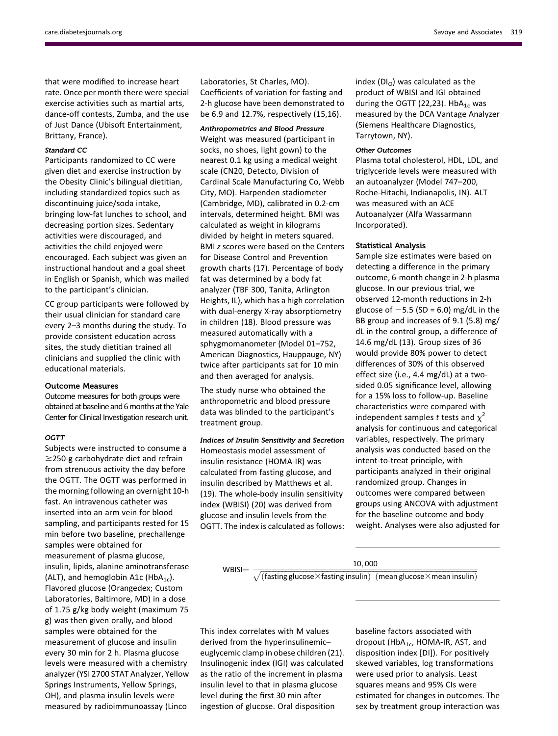[care.diabetesjournals.org](http://care.diabetesjournals.org) Savoye and Associates 319

that were modified to increase heart rate. Once per month there were special exercise activities such as martial arts, dance-off contests, Zumba, and the use of Just Dance (Ubisoft Entertainment, Brittany, France).

## Standard CC

Participants randomized to CC were given diet and exercise instruction by the Obesity Clinic's bilingual dietitian, including standardized topics such as discontinuing juice/soda intake, bringing low-fat lunches to school, and decreasing portion sizes. Sedentary activities were discouraged, and activities the child enjoyed were encouraged. Each subject was given an instructional handout and a goal sheet in English or Spanish, which was mailed to the participant's clinician.

CC group participants were followed by their usual clinician for standard care every 2–3 months during the study. To provide consistent education across sites, the study dietitian trained all clinicians and supplied the clinic with educational materials.

## Outcome Measures

Outcome measures for both groups were obtained at baseline and 6 months at the Yale Center for Clinical Investigation research unit.

## **OGTT**

Subjects were instructed to consume a  $\geq$ 250-g carbohydrate diet and refrain from strenuous activity the day before the OGTT. The OGTT was performed in the morning following an overnight 10-h fast. An intravenous catheter was inserted into an arm vein for blood sampling, and participants rested for 15 min before two baseline, prechallenge samples were obtained for measurement of plasma glucose, insulin, lipids, alanine aminotransferase (ALT), and hemoglobin A1c (HbA<sub>1c</sub>). Flavored glucose (Orangedex; Custom Laboratories, Baltimore, MD) in a dose of 1.75 g/kg body weight (maximum 75 g) was then given orally, and blood samples were obtained for the measurement of glucose and insulin every 30 min for 2 h. Plasma glucose levels were measured with a chemistry analyzer (YSI 2700 STAT Analyzer, Yellow Springs Instruments, Yellow Springs, OH), and plasma insulin levels were measured by radioimmunoassay (Linco

Laboratories, St Charles, MO). Coefficients of variation for fasting and 2-h glucose have been demonstrated to be 6.9 and 12.7%, respectively (15,16).

## Anthropometrics and Blood Pressure

Weight was measured (participant in socks, no shoes, light gown) to the nearest 0.1 kg using a medical weight scale (CN20, Detecto, Division of Cardinal Scale Manufacturing Co, Webb City, MO). Harpenden stadiometer (Cambridge, MD), calibrated in 0.2-cm intervals, determined height. BMI was calculated as weight in kilograms divided by height in meters squared. BMI z scores were based on the Centers for Disease Control and Prevention growth charts (17). Percentage of body fat was determined by a body fat analyzer (TBF 300, Tanita, Arlington Heights, IL), which has a high correlation with dual-energy X-ray absorptiometry in children (18). Blood pressure was measured automatically with a sphygmomanometer (Model 01–752, American Diagnostics, Hauppauge, NY) twice after participants sat for 10 min and then averaged for analysis.

The study nurse who obtained the anthropometric and blood pressure data was blinded to the participant's treatment group.

## Indices of Insulin Sensitivity and Secretion

Homeostasis model assessment of insulin resistance (HOMA-IR) was calculated from fasting glucose, and insulin described by Matthews et al. (19). The whole-body insulin sensitivity index (WBISI) (20) was derived from glucose and insulin levels from the OGTT. The index is calculated as follows: index  $(DI<sub>O</sub>)$  was calculated as the product of WBISI and IGI obtained during the OGTT (22,23).  $HbA_{1c}$  was measured by the DCA Vantage Analyzer (Siemens Healthcare Diagnostics, Tarrytown, NY).

### Other Outcomes

Plasma total cholesterol, HDL, LDL, and triglyceride levels were measured with an autoanalyzer (Model 747–200, Roche-Hitachi, Indianapolis, IN). ALT was measured with an ACE Autoanalyzer (Alfa Wassarmann Incorporated).

## Statistical Analysis

Sample size estimates were based on detecting a difference in the primary outcome, 6-month change in 2-h plasma glucose. In our previous trial, we observed 12-month reductions in 2-h glucose of  $-5.5$  (SD = 6.0) mg/dL in the BB group and increases of 9.1 (5.8) mg/ dL in the control group, a difference of 14.6 mg/dL (13). Group sizes of 36 would provide 80% power to detect differences of 30% of this observed effect size (i.e., 4.4 mg/dL) at a twosided 0.05 significance level, allowing for a 15% loss to follow-up. Baseline characteristics were compared with independent samples t tests and  $\chi^2$ analysis for continuous and categorical variables, respectively. The primary analysis was conducted based on the intent-to-treat principle, with participants analyzed in their original randomized group. Changes in outcomes were compared between groups using ANCOVA with adjustment for the baseline outcome and body weight. Analyses were also adjusted for

WBISI=  $\frac{10,000}{\sqrt{(\text{fasting glucose} \times \text{fasting insulin}) \ (\text{mean glucose} \times \text{mean insulin})}}$ 

This index correlates with M values derived from the hyperinsulinemic– euglycemic clamp in obese children (21). Insulinogenic index (IGI) was calculated as the ratio of the increment in plasma insulin level to that in plasma glucose level during the first 30 min after ingestion of glucose. Oral disposition

baseline factors associated with dropout ( $HbA_{1c}$ , HOMA-IR, AST, and disposition index [DI]). For positively skewed variables, log transformations were used prior to analysis. Least squares means and 95% CIs were estimated for changes in outcomes. The sex by treatment group interaction was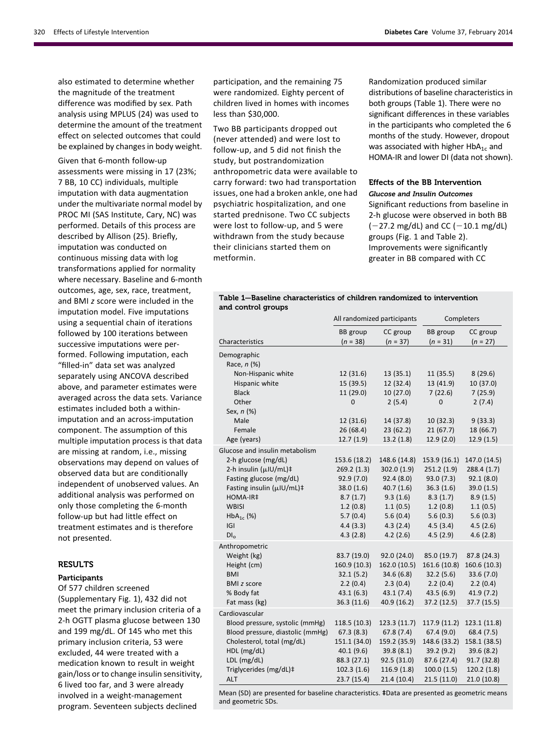also estimated to determine whether the magnitude of the treatment difference was modified by sex. Path analysis using MPLUS (24) was used to determine the amount of the treatment effect on selected outcomes that could be explained by changes in body weight.

Given that 6-month follow-up assessments were missing in 17 (23%; 7 BB, 10 CC) individuals, multiple imputation with data augmentation under the multivariate normal model by PROC MI (SAS Institute, Cary, NC) was performed. Details of this process are described by Allison (25). Briefly, imputation was conducted on continuous missing data with log transformations applied for normality where necessary. Baseline and 6-month outcomes, age, sex, race, treatment, and BMI z score were included in the imputation model. Five imputations using a sequential chain of iterations followed by 100 iterations between successive imputations were performed. Following imputation, each "filled-in" data set was analyzed separately using ANCOVA described above, and parameter estimates were averaged across the data sets. Variance estimates included both a withinimputation and an across-imputation component. The assumption of this multiple imputation process is that data are missing at random, i.e., missing observations may depend on values of observed data but are conditionally independent of unobserved values. An additional analysis was performed on only those completing the 6-month follow-up but had little effect on treatment estimates and is therefore not presented.

# **RESULTS**

## Participants

Of 577 children screened ([Supplementary Fig. 1\)](http://care.diabetesjournals.org/lookup/suppl/doi:10.2337/dc13-1571/-/DC1), 432 did not meet the primary inclusion criteria of a 2-h OGTT plasma glucose between 130 and 199 mg/dL. Of 145 who met this primary inclusion criteria, 53 were excluded, 44 were treated with a medication known to result in weight gain/loss or to change insulin sensitivity, 6 lived too far, and 3 were already involved in a weight-management program. Seventeen subjects declined

participation, and the remaining 75 were randomized. Eighty percent of children lived in homes with incomes less than \$30,000.

Two BB participants dropped out (never attended) and were lost to follow-up, and 5 did not finish the study, but postrandomization anthropometric data were available to carry forward: two had transportation issues, one had a broken ankle, one had psychiatric hospitalization, and one started prednisone. Two CC subjects were lost to follow-up, and 5 were withdrawn from the study because their clinicians started them on metformin.

Randomization produced similar distributions of baseline characteristics in both groups (Table 1). There were no significant differences in these variables in the participants who completed the 6 months of the study. However, dropout was associated with higher  $HbA_{1c}$  and HOMA-IR and lower DI (data not shown).

## Effects of the BB Intervention

Glucose and Insulin Outcomes

Significant reductions from baseline in 2-h glucose were observed in both BB  $(-27.2 \text{ mg/dL})$  and CC  $(-10.1 \text{ mg/dL})$ groups (Fig. 1 and Table 2). Improvements were significantly greater in BB compared with CC

# Table 1—Baseline characteristics of children randomized to intervention and control groups

| BB group<br>CC group<br><b>BB</b> group<br>CC group<br>$(n = 38)$<br>$(n = 37)$<br>$(n = 31)$<br>$(n = 27)$<br>Characteristics<br>Demographic<br>Race, n (%)<br>Non-Hispanic white<br>12 (31.6)<br>13(35.1)<br>11 (35.5)<br>8(29.6)<br>13 (41.9)<br>Hispanic white<br>15 (39.5)<br>12 (32.4)<br>10 (37.0)<br><b>Black</b><br>11 (29.0)<br>10(27.0)<br>7(22.6)<br>7(25.9)<br>2(5.4)<br>2(7.4)<br>Other<br>0<br>$\Omega$<br>Sex, n (%)<br>Male<br>12 (31.6)<br>14 (37.8)<br>10 (32.3)<br>9(33.3)<br>26 (68.4)<br>23(62.2)<br>21(67.7)<br>18 (66.7)<br>Female<br>12.7 (1.9)<br>13.2(1.8)<br>12.9(2.0)<br>12.9 (1.5)<br>Age (years)<br>Glucose and insulin metabolism<br>2-h glucose (mg/dL)<br>147.0 (14.5)<br>153.6 (18.2)<br>148.6 (14.8)<br>153.9 (16.1)<br>2-h insulin (µIU/mL)‡<br>269.2(1.3)<br>251.2 (1.9)<br>302.0 (1.9)<br>288.4 (1.7)<br>Fasting glucose (mg/dL)<br>92.9(7.0)<br>92.4(8.0)<br>93.0(7.3)<br>92.1(8.0)<br>Fasting insulin (µIU/mL)‡<br>40.7(1.6)<br>36.3(1.6)<br>39.0 (1.5)<br>38.0(1.6)<br>HOMA-IR‡<br>9.3(1.6)<br>8.7(1.7)<br>8.3(1.7)<br>8.9(1.5)<br><b>WBISI</b><br>1.2(0.8)<br>1.1(0.5)<br>1.2(0.8)<br>1.1(0.5)<br>$HbA_{1c}$ (%)<br>5.7(0.4)<br>5.6(0.4)<br>5.6(0.3)<br>5.6(0.3)<br> G <br>4.4(3.3)<br>4.3(2.4)<br>4.5(3.4)<br>4.5(2.6)<br>4.3(2.8)<br>4.2(2.6)<br>4.5(2.9)<br>4.6(2.8)<br>DI <sub>0</sub><br>Anthropometric<br>Weight (kg)<br>83.7 (19.0)<br>92.0 (24.0)<br>85.0 (19.7)<br>87.8 (24.3)<br>160.9 (10.3)<br>162.0 (10.5)<br>161.6 (10.8)<br>160.6 (10.3)<br>Height (cm)<br>32.1(5.2)<br>34.6(6.8)<br>32.2(5.6)<br>33.6 (7.0)<br><b>BMI</b><br>2.2(0.4)<br>2.2(0.4)<br>2.3(0.4)<br>2.2(0.4)<br><b>BMI</b> z score<br>43.1(7.4)<br>43.5(6.9)<br>41.9 (7.2)<br>% Body fat<br>43.1(6.3)<br>Fat mass (kg)<br>36.3(11.6)<br>40.9 (16.2)<br>37.2 (12.5)<br>37.7 (15.5)<br>Cardiovascular<br>Blood pressure, systolic (mmHg)<br>118.5 (10.3)<br>123.3 (11.7)<br>117.9 (11.2)<br>123.1 (11.8)<br>Blood pressure, diastolic (mmHg)<br>67.3(8.3)<br>67.8(7.4)<br>67.4(9.0)<br>68.4 (7.5)<br>Cholesterol, total (mg/dL)<br>151.1 (34.0)<br>159.2 (35.9)<br>148.6 (33.2)<br>158.1 (38.5)<br>HDL (mg/dL)<br>40.1(9.6)<br>39.8(8.1)<br>39.2(9.2)<br>39.6 (8.2)<br>LDL (mg/dL)<br>87.6 (27.4)<br>88.3 (27.1)<br>92.5 (31.0)<br>91.7 (32.8)<br>Triglycerides (mg/dL)‡<br>102.3(1.6)<br>120.2(1.8)<br>116.9(1.8)<br>100.0(1.5)<br>23.7 (15.4)<br>21.4(10.4)<br>21.5(11.0)<br>21.0(10.8)<br>ALT | All randomized participants |  | Completers |  |
|------------------------------------------------------------------------------------------------------------------------------------------------------------------------------------------------------------------------------------------------------------------------------------------------------------------------------------------------------------------------------------------------------------------------------------------------------------------------------------------------------------------------------------------------------------------------------------------------------------------------------------------------------------------------------------------------------------------------------------------------------------------------------------------------------------------------------------------------------------------------------------------------------------------------------------------------------------------------------------------------------------------------------------------------------------------------------------------------------------------------------------------------------------------------------------------------------------------------------------------------------------------------------------------------------------------------------------------------------------------------------------------------------------------------------------------------------------------------------------------------------------------------------------------------------------------------------------------------------------------------------------------------------------------------------------------------------------------------------------------------------------------------------------------------------------------------------------------------------------------------------------------------------------------------------------------------------------------------------------------------------------------------------------------------------------------------------------------------------------------------------------------------------------------------------------------------------------------------------------------------------------------------------------------------------------------------------------------------------------------------------------------------------------------------|-----------------------------|--|------------|--|
|                                                                                                                                                                                                                                                                                                                                                                                                                                                                                                                                                                                                                                                                                                                                                                                                                                                                                                                                                                                                                                                                                                                                                                                                                                                                                                                                                                                                                                                                                                                                                                                                                                                                                                                                                                                                                                                                                                                                                                                                                                                                                                                                                                                                                                                                                                                                                                                                                        |                             |  |            |  |
|                                                                                                                                                                                                                                                                                                                                                                                                                                                                                                                                                                                                                                                                                                                                                                                                                                                                                                                                                                                                                                                                                                                                                                                                                                                                                                                                                                                                                                                                                                                                                                                                                                                                                                                                                                                                                                                                                                                                                                                                                                                                                                                                                                                                                                                                                                                                                                                                                        |                             |  |            |  |
|                                                                                                                                                                                                                                                                                                                                                                                                                                                                                                                                                                                                                                                                                                                                                                                                                                                                                                                                                                                                                                                                                                                                                                                                                                                                                                                                                                                                                                                                                                                                                                                                                                                                                                                                                                                                                                                                                                                                                                                                                                                                                                                                                                                                                                                                                                                                                                                                                        |                             |  |            |  |
|                                                                                                                                                                                                                                                                                                                                                                                                                                                                                                                                                                                                                                                                                                                                                                                                                                                                                                                                                                                                                                                                                                                                                                                                                                                                                                                                                                                                                                                                                                                                                                                                                                                                                                                                                                                                                                                                                                                                                                                                                                                                                                                                                                                                                                                                                                                                                                                                                        |                             |  |            |  |
|                                                                                                                                                                                                                                                                                                                                                                                                                                                                                                                                                                                                                                                                                                                                                                                                                                                                                                                                                                                                                                                                                                                                                                                                                                                                                                                                                                                                                                                                                                                                                                                                                                                                                                                                                                                                                                                                                                                                                                                                                                                                                                                                                                                                                                                                                                                                                                                                                        |                             |  |            |  |
|                                                                                                                                                                                                                                                                                                                                                                                                                                                                                                                                                                                                                                                                                                                                                                                                                                                                                                                                                                                                                                                                                                                                                                                                                                                                                                                                                                                                                                                                                                                                                                                                                                                                                                                                                                                                                                                                                                                                                                                                                                                                                                                                                                                                                                                                                                                                                                                                                        |                             |  |            |  |
|                                                                                                                                                                                                                                                                                                                                                                                                                                                                                                                                                                                                                                                                                                                                                                                                                                                                                                                                                                                                                                                                                                                                                                                                                                                                                                                                                                                                                                                                                                                                                                                                                                                                                                                                                                                                                                                                                                                                                                                                                                                                                                                                                                                                                                                                                                                                                                                                                        |                             |  |            |  |
|                                                                                                                                                                                                                                                                                                                                                                                                                                                                                                                                                                                                                                                                                                                                                                                                                                                                                                                                                                                                                                                                                                                                                                                                                                                                                                                                                                                                                                                                                                                                                                                                                                                                                                                                                                                                                                                                                                                                                                                                                                                                                                                                                                                                                                                                                                                                                                                                                        |                             |  |            |  |
|                                                                                                                                                                                                                                                                                                                                                                                                                                                                                                                                                                                                                                                                                                                                                                                                                                                                                                                                                                                                                                                                                                                                                                                                                                                                                                                                                                                                                                                                                                                                                                                                                                                                                                                                                                                                                                                                                                                                                                                                                                                                                                                                                                                                                                                                                                                                                                                                                        |                             |  |            |  |
|                                                                                                                                                                                                                                                                                                                                                                                                                                                                                                                                                                                                                                                                                                                                                                                                                                                                                                                                                                                                                                                                                                                                                                                                                                                                                                                                                                                                                                                                                                                                                                                                                                                                                                                                                                                                                                                                                                                                                                                                                                                                                                                                                                                                                                                                                                                                                                                                                        |                             |  |            |  |
|                                                                                                                                                                                                                                                                                                                                                                                                                                                                                                                                                                                                                                                                                                                                                                                                                                                                                                                                                                                                                                                                                                                                                                                                                                                                                                                                                                                                                                                                                                                                                                                                                                                                                                                                                                                                                                                                                                                                                                                                                                                                                                                                                                                                                                                                                                                                                                                                                        |                             |  |            |  |
|                                                                                                                                                                                                                                                                                                                                                                                                                                                                                                                                                                                                                                                                                                                                                                                                                                                                                                                                                                                                                                                                                                                                                                                                                                                                                                                                                                                                                                                                                                                                                                                                                                                                                                                                                                                                                                                                                                                                                                                                                                                                                                                                                                                                                                                                                                                                                                                                                        |                             |  |            |  |
|                                                                                                                                                                                                                                                                                                                                                                                                                                                                                                                                                                                                                                                                                                                                                                                                                                                                                                                                                                                                                                                                                                                                                                                                                                                                                                                                                                                                                                                                                                                                                                                                                                                                                                                                                                                                                                                                                                                                                                                                                                                                                                                                                                                                                                                                                                                                                                                                                        |                             |  |            |  |
|                                                                                                                                                                                                                                                                                                                                                                                                                                                                                                                                                                                                                                                                                                                                                                                                                                                                                                                                                                                                                                                                                                                                                                                                                                                                                                                                                                                                                                                                                                                                                                                                                                                                                                                                                                                                                                                                                                                                                                                                                                                                                                                                                                                                                                                                                                                                                                                                                        |                             |  |            |  |
|                                                                                                                                                                                                                                                                                                                                                                                                                                                                                                                                                                                                                                                                                                                                                                                                                                                                                                                                                                                                                                                                                                                                                                                                                                                                                                                                                                                                                                                                                                                                                                                                                                                                                                                                                                                                                                                                                                                                                                                                                                                                                                                                                                                                                                                                                                                                                                                                                        |                             |  |            |  |
|                                                                                                                                                                                                                                                                                                                                                                                                                                                                                                                                                                                                                                                                                                                                                                                                                                                                                                                                                                                                                                                                                                                                                                                                                                                                                                                                                                                                                                                                                                                                                                                                                                                                                                                                                                                                                                                                                                                                                                                                                                                                                                                                                                                                                                                                                                                                                                                                                        |                             |  |            |  |
|                                                                                                                                                                                                                                                                                                                                                                                                                                                                                                                                                                                                                                                                                                                                                                                                                                                                                                                                                                                                                                                                                                                                                                                                                                                                                                                                                                                                                                                                                                                                                                                                                                                                                                                                                                                                                                                                                                                                                                                                                                                                                                                                                                                                                                                                                                                                                                                                                        |                             |  |            |  |
|                                                                                                                                                                                                                                                                                                                                                                                                                                                                                                                                                                                                                                                                                                                                                                                                                                                                                                                                                                                                                                                                                                                                                                                                                                                                                                                                                                                                                                                                                                                                                                                                                                                                                                                                                                                                                                                                                                                                                                                                                                                                                                                                                                                                                                                                                                                                                                                                                        |                             |  |            |  |
|                                                                                                                                                                                                                                                                                                                                                                                                                                                                                                                                                                                                                                                                                                                                                                                                                                                                                                                                                                                                                                                                                                                                                                                                                                                                                                                                                                                                                                                                                                                                                                                                                                                                                                                                                                                                                                                                                                                                                                                                                                                                                                                                                                                                                                                                                                                                                                                                                        |                             |  |            |  |
|                                                                                                                                                                                                                                                                                                                                                                                                                                                                                                                                                                                                                                                                                                                                                                                                                                                                                                                                                                                                                                                                                                                                                                                                                                                                                                                                                                                                                                                                                                                                                                                                                                                                                                                                                                                                                                                                                                                                                                                                                                                                                                                                                                                                                                                                                                                                                                                                                        |                             |  |            |  |
|                                                                                                                                                                                                                                                                                                                                                                                                                                                                                                                                                                                                                                                                                                                                                                                                                                                                                                                                                                                                                                                                                                                                                                                                                                                                                                                                                                                                                                                                                                                                                                                                                                                                                                                                                                                                                                                                                                                                                                                                                                                                                                                                                                                                                                                                                                                                                                                                                        |                             |  |            |  |
|                                                                                                                                                                                                                                                                                                                                                                                                                                                                                                                                                                                                                                                                                                                                                                                                                                                                                                                                                                                                                                                                                                                                                                                                                                                                                                                                                                                                                                                                                                                                                                                                                                                                                                                                                                                                                                                                                                                                                                                                                                                                                                                                                                                                                                                                                                                                                                                                                        |                             |  |            |  |
|                                                                                                                                                                                                                                                                                                                                                                                                                                                                                                                                                                                                                                                                                                                                                                                                                                                                                                                                                                                                                                                                                                                                                                                                                                                                                                                                                                                                                                                                                                                                                                                                                                                                                                                                                                                                                                                                                                                                                                                                                                                                                                                                                                                                                                                                                                                                                                                                                        |                             |  |            |  |
|                                                                                                                                                                                                                                                                                                                                                                                                                                                                                                                                                                                                                                                                                                                                                                                                                                                                                                                                                                                                                                                                                                                                                                                                                                                                                                                                                                                                                                                                                                                                                                                                                                                                                                                                                                                                                                                                                                                                                                                                                                                                                                                                                                                                                                                                                                                                                                                                                        |                             |  |            |  |
|                                                                                                                                                                                                                                                                                                                                                                                                                                                                                                                                                                                                                                                                                                                                                                                                                                                                                                                                                                                                                                                                                                                                                                                                                                                                                                                                                                                                                                                                                                                                                                                                                                                                                                                                                                                                                                                                                                                                                                                                                                                                                                                                                                                                                                                                                                                                                                                                                        |                             |  |            |  |
|                                                                                                                                                                                                                                                                                                                                                                                                                                                                                                                                                                                                                                                                                                                                                                                                                                                                                                                                                                                                                                                                                                                                                                                                                                                                                                                                                                                                                                                                                                                                                                                                                                                                                                                                                                                                                                                                                                                                                                                                                                                                                                                                                                                                                                                                                                                                                                                                                        |                             |  |            |  |
|                                                                                                                                                                                                                                                                                                                                                                                                                                                                                                                                                                                                                                                                                                                                                                                                                                                                                                                                                                                                                                                                                                                                                                                                                                                                                                                                                                                                                                                                                                                                                                                                                                                                                                                                                                                                                                                                                                                                                                                                                                                                                                                                                                                                                                                                                                                                                                                                                        |                             |  |            |  |
|                                                                                                                                                                                                                                                                                                                                                                                                                                                                                                                                                                                                                                                                                                                                                                                                                                                                                                                                                                                                                                                                                                                                                                                                                                                                                                                                                                                                                                                                                                                                                                                                                                                                                                                                                                                                                                                                                                                                                                                                                                                                                                                                                                                                                                                                                                                                                                                                                        |                             |  |            |  |
|                                                                                                                                                                                                                                                                                                                                                                                                                                                                                                                                                                                                                                                                                                                                                                                                                                                                                                                                                                                                                                                                                                                                                                                                                                                                                                                                                                                                                                                                                                                                                                                                                                                                                                                                                                                                                                                                                                                                                                                                                                                                                                                                                                                                                                                                                                                                                                                                                        |                             |  |            |  |
|                                                                                                                                                                                                                                                                                                                                                                                                                                                                                                                                                                                                                                                                                                                                                                                                                                                                                                                                                                                                                                                                                                                                                                                                                                                                                                                                                                                                                                                                                                                                                                                                                                                                                                                                                                                                                                                                                                                                                                                                                                                                                                                                                                                                                                                                                                                                                                                                                        |                             |  |            |  |
|                                                                                                                                                                                                                                                                                                                                                                                                                                                                                                                                                                                                                                                                                                                                                                                                                                                                                                                                                                                                                                                                                                                                                                                                                                                                                                                                                                                                                                                                                                                                                                                                                                                                                                                                                                                                                                                                                                                                                                                                                                                                                                                                                                                                                                                                                                                                                                                                                        |                             |  |            |  |
|                                                                                                                                                                                                                                                                                                                                                                                                                                                                                                                                                                                                                                                                                                                                                                                                                                                                                                                                                                                                                                                                                                                                                                                                                                                                                                                                                                                                                                                                                                                                                                                                                                                                                                                                                                                                                                                                                                                                                                                                                                                                                                                                                                                                                                                                                                                                                                                                                        |                             |  |            |  |
|                                                                                                                                                                                                                                                                                                                                                                                                                                                                                                                                                                                                                                                                                                                                                                                                                                                                                                                                                                                                                                                                                                                                                                                                                                                                                                                                                                                                                                                                                                                                                                                                                                                                                                                                                                                                                                                                                                                                                                                                                                                                                                                                                                                                                                                                                                                                                                                                                        |                             |  |            |  |
|                                                                                                                                                                                                                                                                                                                                                                                                                                                                                                                                                                                                                                                                                                                                                                                                                                                                                                                                                                                                                                                                                                                                                                                                                                                                                                                                                                                                                                                                                                                                                                                                                                                                                                                                                                                                                                                                                                                                                                                                                                                                                                                                                                                                                                                                                                                                                                                                                        |                             |  |            |  |
|                                                                                                                                                                                                                                                                                                                                                                                                                                                                                                                                                                                                                                                                                                                                                                                                                                                                                                                                                                                                                                                                                                                                                                                                                                                                                                                                                                                                                                                                                                                                                                                                                                                                                                                                                                                                                                                                                                                                                                                                                                                                                                                                                                                                                                                                                                                                                                                                                        |                             |  |            |  |
|                                                                                                                                                                                                                                                                                                                                                                                                                                                                                                                                                                                                                                                                                                                                                                                                                                                                                                                                                                                                                                                                                                                                                                                                                                                                                                                                                                                                                                                                                                                                                                                                                                                                                                                                                                                                                                                                                                                                                                                                                                                                                                                                                                                                                                                                                                                                                                                                                        |                             |  |            |  |
|                                                                                                                                                                                                                                                                                                                                                                                                                                                                                                                                                                                                                                                                                                                                                                                                                                                                                                                                                                                                                                                                                                                                                                                                                                                                                                                                                                                                                                                                                                                                                                                                                                                                                                                                                                                                                                                                                                                                                                                                                                                                                                                                                                                                                                                                                                                                                                                                                        |                             |  |            |  |

Mean (SD) are presented for baseline characteristics. ‡Data are presented as geometric means and geometric SDs.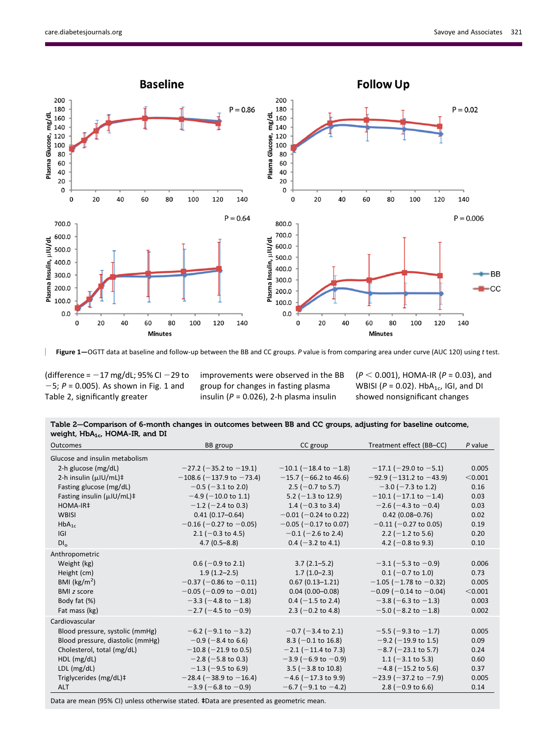

Figure 1—OGTT data at baseline and follow-up between the BB and CC groups. P value is from comparing area under curve (AUC 120) using t test.

(difference =  $-17$  mg/dL; 95% CI  $-29$  to  $-5$ ;  $P = 0.005$ ). As shown in Fig. 1 and Table 2, significantly greater

improvements were observed in the BB group for changes in fasting plasma insulin ( $P = 0.026$ ), 2-h plasma insulin

 $(P < 0.001)$ , HOMA-IR (P = 0.03), and WBISI ( $P = 0.02$ ). HbA<sub>1c</sub>, IGI, and DI showed nonsignificant changes

| Table 2–Comparison of 6-month changes in outcomes between BB and CC groups, adjusting for baseline outcome, |  |  |
|-------------------------------------------------------------------------------------------------------------|--|--|
| weight, $HbA_{1c}$ , HOMA-IR, and DI                                                                        |  |  |

| Outcomes                                 | BB group                       | CC group                   | Treatment effect (BB-CC)       | $P$ value |
|------------------------------------------|--------------------------------|----------------------------|--------------------------------|-----------|
| Glucose and insulin metabolism           |                                |                            |                                |           |
| 2-h glucose (mg/dL)                      | $-27.2$ ( $-35.2$ to $-19.1$ ) | $-10.1$ (-18.4 to -1.8)    | $-17.1$ (-29.0 to -5.1)        | 0.005     |
| 2-h insulin (µIU/mL)‡                    | $-108.6$ (-137.9 to -73.4)     | $-15.7$ (-66.2 to 46.6)    | $-92.9$ (-131.2 to -43.9)      | < 0.001   |
| Fasting glucose (mg/dL)                  | $-0.5$ ( $-3.1$ to 2.0)        | 2.5 ( $-0.7$ to 5.7)       | $-3.0$ ( $-7.3$ to 1.2)        | 0.16      |
| Fasting insulin $(\mu$ IU/mL) $\ddagger$ | $-4.9$ ( $-10.0$ to 1.1)       | 5.2 ( $-1.3$ to 12.9)      | $-10.1$ (-17.1 to -1.4)        | 0.03      |
| HOMA-IR‡                                 | $-1.2$ (-2.4 to 0.3)           | 1.4 ( $-0.3$ to 3.4)       | $-2.6$ (-4.3 to -0.4)          | 0.03      |
| <b>WBISI</b>                             | $0.41(0.17 - 0.64)$            | $-0.01$ ( $-0.24$ to 0.22) | $0.42(0.08 - 0.76)$            | 0.02      |
| $HbA_{1c}$                               | $-0.16$ (-0.27 to -0.05)       | $-0.05$ ( $-0.17$ to 0.07) | $-0.11$ (-0.27 to 0.05)        | 0.19      |
| G                                        | $2.1$ (-0.3 to 4.5)            | $-0.1$ (-2.6 to 2.4)       | 2.2 ( $-1.2$ to 5.6)           | 0.20      |
| DI <sub>o</sub>                          | $4.7(0.5 - 8.8)$               | $0.4$ (-3.2 to 4.1)        | 4.2 ( $-0.8$ to 9.3)           | 0.10      |
| Anthropometric                           |                                |                            |                                |           |
| Weight (kg)                              | $0.6$ (-0.9 to 2.1)            | $3.7(2.1 - 5.2)$           | $-3.1$ (-5.3 to -0.9)          | 0.006     |
| Height (cm)                              | $1.9(1.2 - 2.5)$               | $1.7(1.0-2.3)$             | $0.1$ (-0.7 to 1.0)            | 0.73      |
| BMI ( $\text{kg/m}^2$ )                  | $-0.37$ (-0.86 to -0.11)       | $0.67(0.13 - 1.21)$        | $-1.05$ (-1.78 to -0.32)       | 0.005     |
| <b>BMI</b> z score                       | $-0.05$ ( $-0.09$ to $-0.01$ ) | $0.04(0.00 - 0.08)$        | $-0.09$ ( $-0.14$ to $-0.04$ ) | < 0.001   |
| Body fat (%)                             | $-3.3$ ( $-4.8$ to $-1.8$ )    | $0.4$ (-1.5 to 2.4)        | $-3.8$ (-6.3 to -1.3)          | 0.003     |
| Fat mass (kg)                            | $-2.7$ (-4.5 to -0.9)          | 2.3 ( $-0.2$ to 4.8)       | $-5.0$ (-8.2 to $-1.8$ )       | 0.002     |
| Cardiovascular                           |                                |                            |                                |           |
| Blood pressure, systolic (mmHg)          | $-6.2$ (-9.1 to -3.2)          | $-0.7$ ( $-3.4$ to 2.1)    | $-5.5$ ( $-9.3$ to $-1.7$ )    | 0.005     |
| Blood pressure, diastolic (mmHg)         | $-0.9$ ( $-8.4$ to 6.6)        | $8.3$ (-0.1 to 16.8)       | $-9.2$ (-19.9 to 1.5)          | 0.09      |
| Cholesterol, total (mg/dL)               | $-10.8$ ( $-21.9$ to 0.5)      | $-2.1$ ( $-11.4$ to 7.3)   | $-8.7$ ( $-23.1$ to 5.7)       | 0.24      |
| HDL (mg/dL)                              | $-2.8$ ( $-5.8$ to 0.3)        | $-3.9$ (-6.9 to -0.9)      | $1.1 (-3.1 to 5.3)$            | 0.60      |
| LDL (mg/dL)                              | $-1.3$ (-9.5 to 6.9)           | $3.5$ (-3.8 to 10.8)       | $-4.8$ ( $-15.2$ to 5.6)       | 0.37      |
| Triglycerides (mg/dL)‡                   | $-28.4$ ( $-38.9$ to $-16.4$ ) | $-4.6$ ( $-17.3$ to 9.9)   | $-23.9$ ( $-37.2$ to $-7.9$ )  | 0.005     |
| <b>ALT</b>                               | $-3.9$ (-6.8 to -0.9)          | $-6.7$ (-9.1 to -4.2)      | 2.8 ( $-0.9$ to 6.6)           | 0.14      |

Data are mean (95% CI) unless otherwise stated. ‡Data are presented as geometric mean.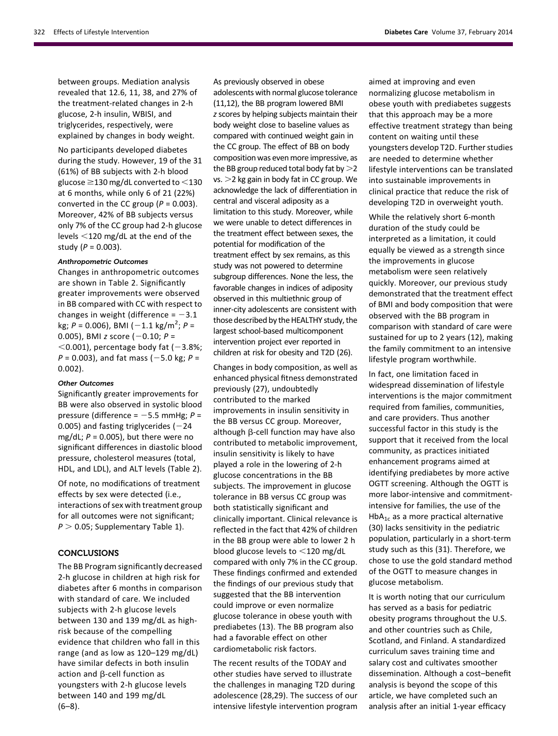between groups. Mediation analysis revealed that 12.6, 11, 38, and 27% of the treatment-related changes in 2-h glucose, 2-h insulin, WBISI, and triglycerides, respectively, were explained by changes in body weight.

No participants developed diabetes during the study. However, 19 of the 31 (61%) of BB subjects with 2-h blood glucose  $\geq$ 130 mg/dL converted to  $<$ 130 at 6 months, while only 6 of 21 (22%) converted in the CC group ( $P = 0.003$ ). Moreover, 42% of BB subjects versus only 7% of the CC group had 2-h glucose levels <120 mg/dL at the end of the study ( $P = 0.003$ ).

## Anthropometric Outcomes

Changes in anthropometric outcomes are shown in Table 2. Significantly greater improvements were observed in BB compared with CC with respect to changes in weight (difference =  $-3.1$ kg;  $P = 0.006$ ), BMI  $(-1.1 \text{ kg/m}^2; P =$ 0.005), BMI z score  $(-0.10; P =$  $<$ 0.001), percentage body fat (-3.8%;  $P = 0.003$ ), and fat mass (-5.0 kg; P = 0.002).

## Other Outcomes

Significantly greater improvements for BB were also observed in systolic blood pressure (difference =  $-5.5$  mmHg;  $P =$ 0.005) and fasting triglycerides  $(-24)$ mg/dL;  $P = 0.005$ ), but there were no significant differences in diastolic blood pressure, cholesterol measures (total, HDL, and LDL), and ALT levels (Table 2).

Of note, no modifications of treatment effects by sex were detected (i.e., interactions of sex with treatment group for all outcomes were not significant;  $P > 0.05$ ; [Supplementary Table 1\)](http://care.diabetesjournals.org/lookup/suppl/doi:10.2337/dc13-1571/-/DC1).

# **CONCLUSIONS**

The BB Program significantly decreased 2-h glucose in children at high risk for diabetes after 6 months in comparison with standard of care. We included subjects with 2-h glucose levels between 130 and 139 mg/dL as highrisk because of the compelling evidence that children who fall in this range (and as low as 120–129 mg/dL) have similar defects in both insulin action and  $\beta$ -cell function as youngsters with 2-h glucose levels between 140 and 199 mg/dL  $(6-8)$ .

As previously observed in obese adolescents with normal glucose tolerance (11,12), the BB program lowered BMI z scores by helping subjects maintain their body weight close to baseline values as compared with continued weight gain in the CC group. The effect of BB on body composition was even more impressive, as the BB group reduced total body fat by  $>$ 2  $vs. > 2$  kg gain in body fat in CC group. We acknowledge the lack of differentiation in central and visceral adiposity as a limitation to this study. Moreover, while we were unable to detect differences in the treatment effect between sexes, the potential for modification of the treatment effect by sex remains, as this study was not powered to determine subgroup differences. None the less, the favorable changes in indices of adiposity observed in this multiethnic group of inner-city adolescents are consistent with those described by the HEALTHY study, the largest school-based multicomponent intervention project ever reported in children at risk for obesity and T2D (26).

Changes in body composition, as well as enhanced physical fitness demonstrated previously (27), undoubtedly contributed to the marked improvements in insulin sensitivity in the BB versus CC group. Moreover, although  $\beta$ -cell function may have also contributed to metabolic improvement, insulin sensitivity is likely to have played a role in the lowering of 2-h glucose concentrations in the BB subjects. The improvement in glucose tolerance in BB versus CC group was both statistically significant and clinically important. Clinical relevance is reflected in the fact that 42% of children in the BB group were able to lower 2 h blood glucose levels to  $<$ 120 mg/dL compared with only 7% in the CC group. These findings confirmed and extended the findings of our previous study that suggested that the BB intervention could improve or even normalize glucose tolerance in obese youth with prediabetes (13). The BB program also had a favorable effect on other cardiometabolic risk factors.

The recent results of the TODAY and other studies have served to illustrate the challenges in managing T2D during adolescence (28,29). The success of our intensive lifestyle intervention program aimed at improving and even normalizing glucose metabolism in obese youth with prediabetes suggests that this approach may be a more effective treatment strategy than being content on waiting until these youngsters develop T2D. Further studies are needed to determine whether lifestyle interventions can be translated into sustainable improvements in clinical practice that reduce the risk of developing T2D in overweight youth.

While the relatively short 6-month duration of the study could be interpreted as a limitation, it could equally be viewed as a strength since the improvements in glucose metabolism were seen relatively quickly. Moreover, our previous study demonstrated that the treatment effect of BMI and body composition that were observed with the BB program in comparison with standard of care were sustained for up to 2 years (12), making the family commitment to an intensive lifestyle program worthwhile.

In fact, one limitation faced in widespread dissemination of lifestyle interventions is the major commitment required from families, communities, and care providers. Thus another successful factor in this study is the support that it received from the local community, as practices initiated enhancement programs aimed at identifying prediabetes by more active OGTT screening. Although the OGTT is more labor-intensive and commitmentintensive for families, the use of the  $HbA_{1c}$  as a more practical alternative (30) lacks sensitivity in the pediatric population, particularly in a short-term study such as this (31). Therefore, we chose to use the gold standard method of the OGTT to measure changes in glucose metabolism.

It is worth noting that our curriculum has served as a basis for pediatric obesity programs throughout the U.S. and other countries such as Chile, Scotland, and Finland. A standardized curriculum saves training time and salary cost and cultivates smoother dissemination. Although a cost–benefit analysis is beyond the scope of this article, we have completed such an analysis after an initial 1-year efficacy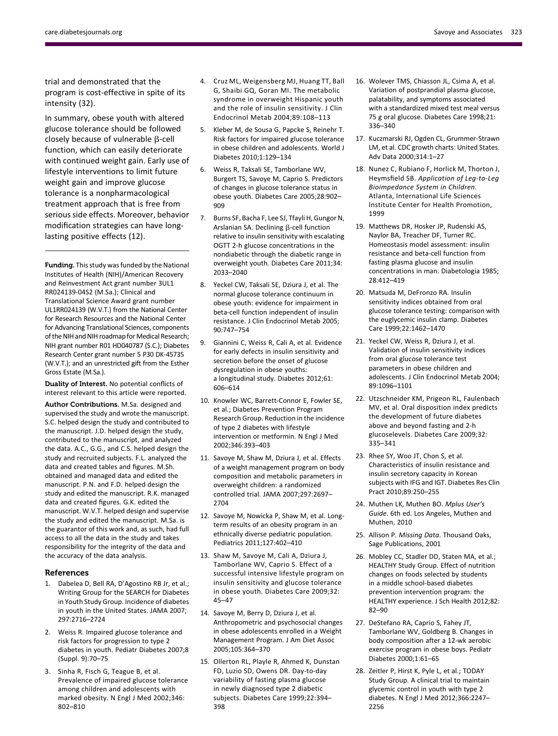trial and demonstrated that the program is cost-effective in spite of its intensity (32).

In summary, obese youth with altered glucose tolerance should be followed closely because of vulnerable  $\beta$ -cell function, which can easily deteriorate with continued weight gain. Early use of lifestyle interventions to limit future weight gain and improve glucose tolerance is a nonpharmacological treatment approach that is free from serious side effects. Moreover, behavior modification strategies can have longlasting positive effects (12).

Funding. This study was funded by the National Institutes of Health (NIH)/American Recovery and Reinvestment Act grant number 3UL1 RR024139-04S2 (M.Sa.); Clinical and Translational Science Award grant number UL1RR024139 (W.V.T.) from the National Center for Research Resources and the National Center for Advancing Translational Sciences, components of the NIH and NIH roadmap for Medical Research; NIH grant number R01 HD040787 (S.C.); Diabetes Research Center grant number 5 P30 DK-45735 (W.V.T.); and an unrestricted gift from the Esther Gross Estate (M.Sa.).

Duality of Interest. No potential conflicts of interest relevant to this article were reported.

Author Contributions. M.Sa. designed and supervised the study and wrote the manuscript. S.C. helped design the study and contributed to the manuscript. J.D. helped design the study, contributed to the manuscript, and analyzed the data. A.C., G.G., and C.S. helped design the study and recruited subjects. F.L. analyzed the data and created tables and figures. M.Sh. obtained and managed data and edited the manuscript. P.N. and F.D. helped design the study and edited the manuscript. R.K. managed data and created figures. G.K. edited the manuscript. W.V.T. helped design and supervise the study and edited the manuscript. M.Sa. is the guarantor of this work and, as such, had full access to all the data in the study and takes responsibility for the integrity of the data and the accuracy of the data analysis.

#### References

- 1. Dabelea D, Bell RA, D'Agostino RB Jr, et al.; Writing Group for the SEARCH for Diabetes in Youth Study Group. Incidence of diabetes in youth in the United States. JAMA 2007; 297:2716–2724
- 2. Weiss R. Impaired glucose tolerance and risk factors for progression to type 2 diabetes in youth. Pediatr Diabetes 2007;8 (Suppl. 9):70–75
- 3. Sinha R, Fisch G, Teague B, et al. Prevalence of impaired glucose tolerance among children and adolescents with marked obesity. N Engl J Med 2002;346: 802–810
- 4. Cruz ML, Weigensberg MJ, Huang TT, Ball G, Shaibi GQ, Goran MI. The metabolic syndrome in overweight Hispanic youth and the role of insulin sensitivity. J Clin Endocrinol Metab 2004;89:108–113
- 5. Kleber M, de Sousa G, Papcke S, Reinehr T. Risk factors for impaired glucose tolerance in obese children and adolescents. World J Diabetes 2010;1:129–134
- 6. Weiss R, Taksali SE, Tamborlane WV, Burgert TS, Savoye M, Caprio S. Predictors of changes in glucose tolerance status in obese youth. Diabetes Care 2005;28:902– 909
- 7. Burns SF, Bacha F, Lee SJ, Tfayli H, Gungor N, Arslanian SA. Declining  $\beta$ -cell function relative to insulin sensitivity with escalating OGTT 2-h glucose concentrations in the nondiabetic through the diabetic range in overweight youth. Diabetes Care 2011;34: 2033–2040
- 8. Yeckel CW, Taksali SE, Dziura J, et al. The normal glucose tolerance continuum in obese youth: evidence for impairment in beta-cell function independent of insulin resistance. J Clin Endocrinol Metab 2005; 90:747–754
- 9. Giannini C, Weiss R, Cali A, et al. Evidence for early defects in insulin sensitivity and secretion before the onset of glucose dysregulation in obese youths: a longitudinal study. Diabetes 2012;61: 606–614
- 10. Knowler WC, Barrett-Connor E, Fowler SE, et al.; Diabetes Prevention Program Research Group. Reduction in the incidence of type 2 diabetes with lifestyle intervention or metformin. N Engl J Med 2002;346:393–403
- 11. Savoye M, Shaw M, Dziura J, et al. Effects of a weight management program on body composition and metabolic parameters in overweight children: a randomized controlled trial. JAMA 2007;297:2697– 2704
- 12. Savoye M, Nowicka P, Shaw M, et al. Longterm results of an obesity program in an ethnically diverse pediatric population. Pediatrics 2011;127:402–410
- 13. Shaw M, Savoye M, Cali A, Dziura J, Tamborlane WV, Caprio S. Effect of a successful intensive lifestyle program on insulin sensitivity and glucose tolerance in obese youth. Diabetes Care 2009;32: 45–47
- 14. Savoye M, Berry D, Dziura J, et al. Anthropometric and psychosocial changes in obese adolescents enrolled in a Weight Management Program. J Am Diet Assoc 2005;105:364–370
- 15. Ollerton RL, Playle R, Ahmed K, Dunstan FD, Luzio SD, Owens DR. Day-to-day variability of fasting plasma glucose in newly diagnosed type 2 diabetic subjects. Diabetes Care 1999;22:394– 398
- 16. Wolever TMS, Chiasson JL, Csima A, et al. Variation of postprandial plasma glucose, palatability, and symptoms associated with a standardized mixed test meal versus 75 g oral glucose. Diabetes Care 1998;21: 336–340
- 17. Kuczmarski RJ, Ogden CL, Grummer-Strawn LM, et al. CDC growth charts: United States. Adv Data 2000;314:1–27
- 18. Nunez C, Rubiano F, Horlick M, Thorton J, Heymsfield SB. Application of Leg-to-Leg Bioimpedance System in Children. Atlanta, International Life Sciences Institute Center for Health Promotion, 1999
- 19. Matthews DR, Hosker JP, Rudenski AS, Naylor BA, Treacher DF, Turner RC. Homeostasis model assessment: insulin resistance and beta-cell function from fasting plasma glucose and insulin concentrations in man. Diabetologia 1985; 28:412–419
- 20. Matsuda M, DeFronzo RA. Insulin sensitivity indices obtained from oral glucose tolerance testing: comparison with the euglycemic insulin clamp. Diabetes Care 1999;22:1462–1470
- 21. Yeckel CW, Weiss R, Dziura J, et al. Validation of insulin sensitivity indices from oral glucose tolerance test parameters in obese children and adolescents. J Clin Endocrinol Metab 2004; 89:1096–1101
- 22. Utzschneider KM, Prigeon RL, Faulenbach MV, et al. Oral disposition index predicts the development of future diabetes above and beyond fasting and 2-h glucoselevels. Diabetes Care 2009;32: 335–341
- 23. Rhee SY, Woo JT, Chon S, et al. Characteristics of insulin resistance and insulin secretory capacity in Korean subjects with IFG and IGT. Diabetes Res Clin Pract 2010;89:250–255
- 24. Muthen LK, Muthen BO. Mplus User's Guide. 6th ed. Los Angeles, Muthen and Muthen, 2010
- 25. Allison P. Missing Data. Thousand Oaks, Sage Publications, 2001
- 26. Mobley CC, Stadler DD, Staten MA, et al.; HEALTHY Study Group. Effect of nutrition changes on foods selected by students in a middle school-based diabetes prevention intervention program: the HEALTHY experience. J Sch Health 2012;82: 82–90
- 27. DeStefano RA, Caprio S, Fahey JT, Tamborlane WV, Goldberg B. Changes in body composition after a 12-wk aerobic exercise program in obese boys. Pediatr Diabetes 2000;1:61–65
- 28. Zeitler P, Hirst K, Pyle L, et al.; TODAY Study Group. A clinical trial to maintain glycemic control in youth with type 2 diabetes. N Engl J Med 2012;366:2247– 2256